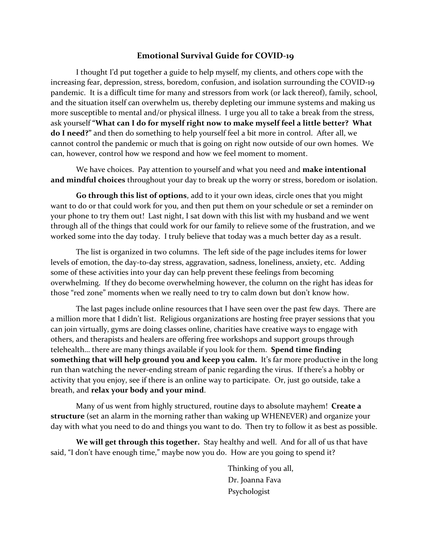#### **Emotional Survival Guide for COVID-19**

I thought I'd put together a guide to help myself, my clients, and others cope with the increasing fear, depression, stress, boredom, confusion, and isolation surrounding the COVID-19 pandemic. It is a difficult time for many and stressors from work (or lack thereof), family, school, and the situation itself can overwhelm us, thereby depleting our immune systems and making us more susceptible to mental and/or physical illness. I urge you all to take a break from the stress, ask yourself **"What can I do for myself right now to make myself feel a little better? What do I need?"** and then do something to help yourself feel a bit more in control. After all, we cannot control the pandemic or much that is going on right now outside of our own homes. We can, however, control how we respond and how we feel moment to moment.

We have choices. Pay attention to yourself and what you need and **make intentional and mindful choices** throughout your day to break up the worry or stress, boredom or isolation.

**Go through this list of options**, add to it your own ideas, circle ones that you might want to do or that could work for you, and then put them on your schedule or set a reminder on your phone to try them out! Last night, I sat down with this list with my husband and we went through all of the things that could work for our family to relieve some of the frustration, and we worked some into the day today. I truly believe that today was a much better day as a result.

The list is organized in two columns. The left side of the page includes items for lower levels of emotion, the day-to-day stress, aggravation, sadness, loneliness, anxiety, etc. Adding some of these activities into your day can help prevent these feelings from becoming overwhelming. If they do become overwhelming however, the column on the right has ideas for those "red zone" moments when we really need to try to calm down but don't know how.

The last pages include online resources that I have seen over the past few days. There are a million more that I didn't list. Religious organizations are hosting free prayer sessions that you can join virtually, gyms are doing classes online, charities have creative ways to engage with others, and therapists and healers are offering free workshops and support groups through telehealth… there are many things available if you look for them. **Spend time finding something that will help ground you and keep you calm.** It's far more productive in the long run than watching the never-ending stream of panic regarding the virus. If there's a hobby or activity that you enjoy, see if there is an online way to participate. Or, just go outside, take a breath, and **relax your body and your mind**.

Many of us went from highly structured, routine days to absolute mayhem! **Create a structure** (set an alarm in the morning rather than waking up WHENEVER) and organize your day with what you need to do and things you want to do. Then try to follow it as best as possible.

**We will get through this together.** Stay healthy and well. And for all of us that have said, "I don't have enough time," maybe now you do. How are you going to spend it?

> Thinking of you all, Dr. Joanna Fava Psychologist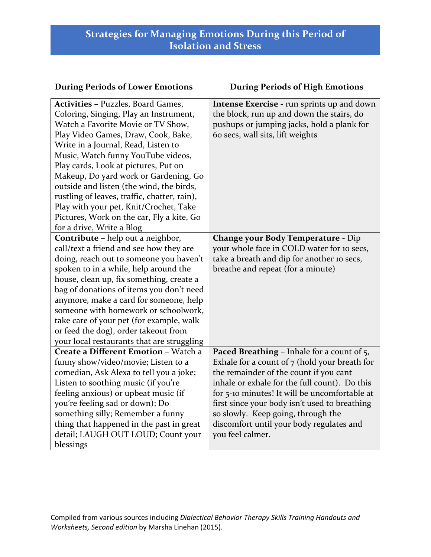#### **During Periods of Lower Emotions During Periods of High Emotions**

| <b>Activities - Puzzles, Board Games,</b>    | <b>Intense Exercise</b> - run sprints up and down |
|----------------------------------------------|---------------------------------------------------|
| Coloring, Singing, Play an Instrument,       | the block, run up and down the stairs, do         |
| Watch a Favorite Movie or TV Show,           | pushups or jumping jacks, hold a plank for        |
| Play Video Games, Draw, Cook, Bake,          | 60 secs, wall sits, lift weights                  |
| Write in a Journal, Read, Listen to          |                                                   |
| Music, Watch funny YouTube videos,           |                                                   |
| Play cards, Look at pictures, Put on         |                                                   |
| Makeup, Do yard work or Gardening, Go        |                                                   |
| outside and listen (the wind, the birds,     |                                                   |
| rustling of leaves, traffic, chatter, rain), |                                                   |
| Play with your pet, Knit/Crochet, Take       |                                                   |
| Pictures, Work on the car, Fly a kite, Go    |                                                   |
| for a drive, Write a Blog                    |                                                   |
| Contribute - help out a neighbor,            | <b>Change your Body Temperature - Dip</b>         |
| call/text a friend and see how they are      | your whole face in COLD water for 10 secs,        |
| doing, reach out to someone you haven't      | take a breath and dip for another 10 secs,        |
| spoken to in a while, help around the        | breathe and repeat (for a minute)                 |
| house, clean up, fix something, create a     |                                                   |
| bag of donations of items you don't need     |                                                   |
| anymore, make a card for someone, help       |                                                   |
| someone with homework or schoolwork,         |                                                   |
| take care of your pet (for example, walk     |                                                   |
| or feed the dog), order takeout from         |                                                   |
| your local restaurants that are struggling   |                                                   |
| Create a Different Emotion - Watch a         | <b>Paced Breathing - Inhale for a count of 5,</b> |
| funny show/video/movie; Listen to a          | Exhale for a count of $7$ (hold your breath for   |
| comedian, Ask Alexa to tell you a joke;      | the remainder of the count if you cant            |
| Listen to soothing music (if you're          | inhale or exhale for the full count). Do this     |
| feeling anxious) or upbeat music (if         | for 5-10 minutes! It will be uncomfortable at     |
| you're feeling sad or down); Do              | first since your body isn't used to breathing     |
| something silly; Remember a funny            | so slowly. Keep going, through the                |
| thing that happened in the past in great     | discomfort until your body regulates and          |
| detail; LAUGH OUT LOUD; Count your           | you feel calmer.                                  |
| blessings                                    |                                                   |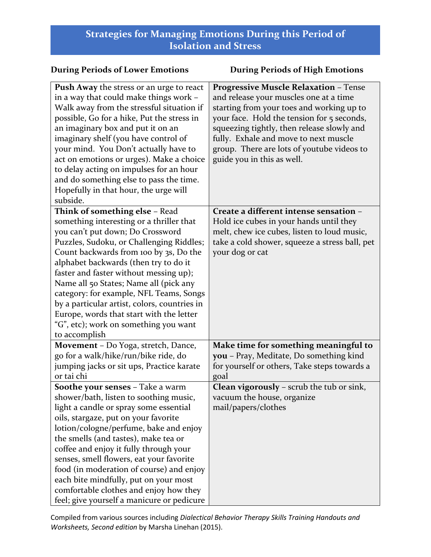| <b>During Periods of Lower Emotions</b>                                                                                                                                                                                                                                                                                                                                                                                                                                                                                            | <b>During Periods of High Emotions</b>                                                                                                                                                                                                                                                                                                               |
|------------------------------------------------------------------------------------------------------------------------------------------------------------------------------------------------------------------------------------------------------------------------------------------------------------------------------------------------------------------------------------------------------------------------------------------------------------------------------------------------------------------------------------|------------------------------------------------------------------------------------------------------------------------------------------------------------------------------------------------------------------------------------------------------------------------------------------------------------------------------------------------------|
| <b>Push Away the stress or an urge to react</b><br>in a way that could make things work -<br>Walk away from the stressful situation if<br>possible, Go for a hike, Put the stress in<br>an imaginary box and put it on an<br>imaginary shelf (you have control of<br>your mind. You Don't actually have to<br>act on emotions or urges). Make a choice<br>to delay acting on impulses for an hour<br>and do something else to pass the time.<br>Hopefully in that hour, the urge will<br>subside.                                  | <b>Progressive Muscle Relaxation - Tense</b><br>and release your muscles one at a time<br>starting from your toes and working up to<br>your face. Hold the tension for 5 seconds,<br>squeezing tightly, then release slowly and<br>fully. Exhale and move to next muscle<br>group. There are lots of youtube videos to<br>guide you in this as well. |
| Think of something else - Read<br>something interesting or a thriller that<br>you can't put down; Do Crossword<br>Puzzles, Sudoku, or Challenging Riddles;<br>Count backwards from 100 by 3s, Do the<br>alphabet backwards (then try to do it<br>faster and faster without messing up);<br>Name all 50 States; Name all (pick any<br>category: for example, NFL Teams, Songs<br>by a particular artist, colors, countries in<br>Europe, words that start with the letter<br>"G", etc); work on something you want<br>to accomplish | Create a different intense sensation -<br>Hold ice cubes in your hands until they<br>melt, chew ice cubes, listen to loud music,<br>take a cold shower, squeeze a stress ball, pet<br>your dog or cat                                                                                                                                                |
| Movement - Do Yoga, stretch, Dance,<br>go for a walk/hike/run/bike ride, do<br>jumping jacks or sit ups, Practice karate<br>or tai chi                                                                                                                                                                                                                                                                                                                                                                                             | Make time for something meaningful to<br>you - Pray, Meditate, Do something kind<br>for yourself or others, Take steps towards a<br>goal                                                                                                                                                                                                             |
| Soothe your senses - Take a warm<br>shower/bath, listen to soothing music,<br>light a candle or spray some essential<br>oils, stargaze, put on your favorite<br>lotion/cologne/perfume, bake and enjoy<br>the smells (and tastes), make tea or<br>coffee and enjoy it fully through your<br>senses, smell flowers, eat your favorite<br>food (in moderation of course) and enjoy<br>each bite mindfully, put on your most<br>comfortable clothes and enjoy how they<br>feel; give yourself a manicure or pedicure                  | <b>Clean vigorously</b> - scrub the tub or sink,<br>vacuum the house, organize<br>mail/papers/clothes                                                                                                                                                                                                                                                |

Compiled from various sources including *Dialectical Behavior Therapy Skills Training Handouts and Worksheets, Second edition* by Marsha Linehan (2015).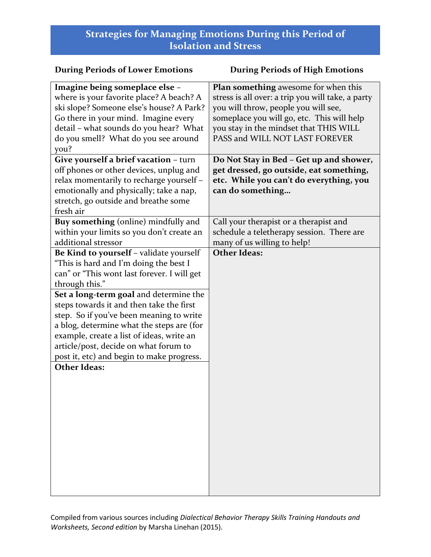#### **During Periods of Lower Emotions During Periods of High Emotions Imagine being someplace else** – where is your favorite place? A beach? A ski slope? Someone else's house? A Park? Go there in your mind. Imagine every detail – what sounds do you hear? What do you smell? What do you see around you? **Plan something** awesome for when this stress is all over: a trip you will take, a party you will throw, people you will see, someplace you will go, etc. This will help you stay in the mindset that THIS WILL PASS and WILL NOT LAST FOREVER **Give yourself a brief vacation** – turn off phones or other devices, unplug and relax momentarily to recharge yourself – emotionally and physically; take a nap, stretch, go outside and breathe some fresh air **Do Not Stay in Bed – Get up and shower, get dressed, go outside, eat something, etc. While you can't do everything, you can do something… Buy something** (online) mindfully and within your limits so you don't create an additional stressor Call your therapist or a therapist and schedule a teletherapy session. There are many of us willing to help! **Be Kind to yourself** – validate yourself "This is hard and I'm doing the best I can" or "This wont last forever. I will get through this." **Other Ideas: Set a long-term goal** and determine the steps towards it and then take the first step. So if you've been meaning to write a blog, determine what the steps are (for example, create a list of ideas, write an article/post, decide on what forum to post it, etc) and begin to make progress. **Other Ideas:**

Compiled from various sources including *Dialectical Behavior Therapy Skills Training Handouts and Worksheets, Second edition* by Marsha Linehan (2015).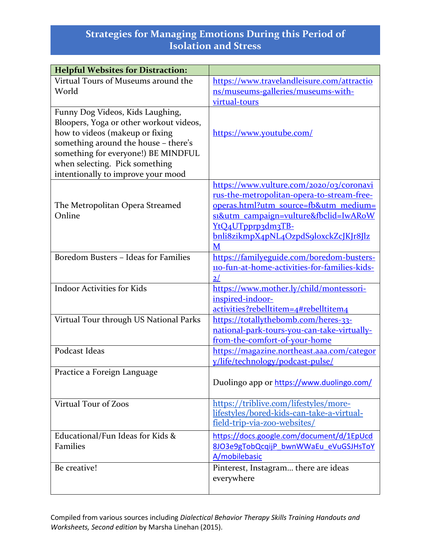| <b>Helpful Websites for Distraction:</b> |                                               |
|------------------------------------------|-----------------------------------------------|
| Virtual Tours of Museums around the      | https://www.travelandleisure.com/attractio    |
| World                                    | ns/museums-galleries/museums-with-            |
|                                          | virtual-tours                                 |
| Funny Dog Videos, Kids Laughing,         |                                               |
| Bloopers, Yoga or other workout videos,  |                                               |
| how to videos (makeup or fixing          | https://www.youtube.com/                      |
| something around the house - there's     |                                               |
| something for everyone!) BE MINDFUL      |                                               |
| when selecting. Pick something           |                                               |
| intentionally to improve your mood       |                                               |
|                                          | https://www.vulture.com/2020/03/coronavi      |
|                                          | rus-the-metropolitan-opera-to-stream-free-    |
| The Metropolitan Opera Streamed          | operas.html?utm_source=fb&utm_medium=         |
| Online                                   | si&utm_campaign=vulture&fbclid=IwARoW         |
|                                          | YtQ4UTpprp3dm3TB-                             |
|                                          | bnli8zikmpX4pNL4OzpdS9loxckZcJKJr8Jlz         |
|                                          | M                                             |
| Boredom Busters - Ideas for Families     | https://familyeguide.com/boredom-busters-     |
|                                          | 110-fun-at-home-activities-for-families-kids- |
|                                          | 2/                                            |
| <b>Indoor Activities for Kids</b>        | https://www.mother.ly/child/montessori-       |
|                                          | inspired-indoor-                              |
|                                          | activities?rebelltitem=4#rebelltitem4         |
| Virtual Tour through US National Parks   | https://totallythebomb.com/heres-33-          |
|                                          | national-park-tours-you-can-take-virtually-   |
|                                          | from-the-comfort-of-your-home                 |
| Podcast Ideas                            | https://magazine.northeast.aaa.com/categor    |
|                                          | y/life/technology/podcast-pulse/              |
| Practice a Foreign Language              |                                               |
|                                          | Duolingo app or https://www.duolingo.com/     |
|                                          |                                               |
| Virtual Tour of Zoos                     | https://triblive.com/lifestyles/more-         |
|                                          | lifestyles/bored-kids-can-take-a-virtual-     |
|                                          | field-trip-via-zoo-websites/                  |
| Educational/Fun Ideas for Kids &         | https://docs.google.com/document/d/1EpUcd     |
| <b>Families</b>                          | 8JO3e9gTobQcqijP bwnWWaEu eVuGSJHsToY         |
|                                          | A/mobilebasic                                 |
| Be creative!                             | Pinterest, Instagram there are ideas          |
|                                          | everywhere                                    |
|                                          |                                               |

Compiled from various sources including *Dialectical Behavior Therapy Skills Training Handouts and Worksheets, Second edition* by Marsha Linehan (2015).